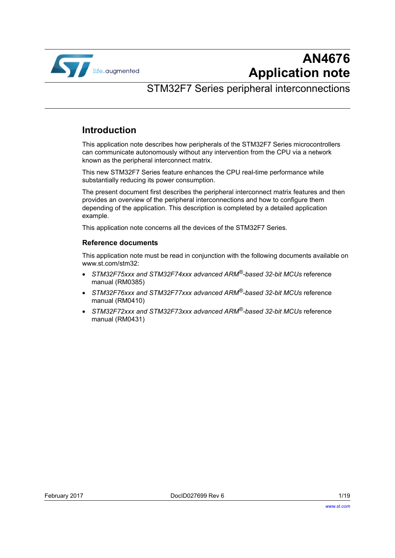

# **AN4676 Application note**

# STM32F7 Series peripheral interconnections

# **Introduction**

This application note describes how peripherals of the STM32F7 Series microcontrollers can communicate autonomously without any intervention from the CPU via a network known as the peripheral interconnect matrix.

This new STM32F7 Series feature enhances the CPU real-time performance while substantially reducing its power consumption.

The present document first describes the peripheral interconnect matrix features and then provides an overview of the peripheral interconnections and how to configure them depending of the application. This description is completed by a detailed application example.

This application note concerns all the devices of the STM32F7 Series.

#### **Reference documents**

This application note must be read in conjunction with the following documents available on www.st.com/stm32:

- *STM32F75xxx and STM32F74xxx advanced ARM®-based 32-bit MCUs* reference manual (RM0385)
- *STM32F76xxx and STM32F77xxx advanced ARM®-based 32-bit MCUs* reference manual (RM0410)
- *STM32F72xxx and STM32F73xxx advanced ARM®-based 32-bit MCUs* reference manual (RM0431)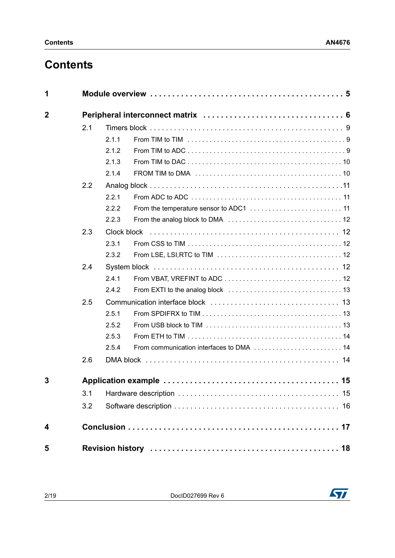# **Contents**

| 1           |     |             |                                          |  |  |  |  |  |  |  |  |
|-------------|-----|-------------|------------------------------------------|--|--|--|--|--|--|--|--|
| $\mathbf 2$ |     |             |                                          |  |  |  |  |  |  |  |  |
|             | 2.1 |             |                                          |  |  |  |  |  |  |  |  |
|             |     | 2.1.1       |                                          |  |  |  |  |  |  |  |  |
|             |     | 2.1.2       |                                          |  |  |  |  |  |  |  |  |
|             |     | 2.1.3       |                                          |  |  |  |  |  |  |  |  |
|             |     | 2.1.4       |                                          |  |  |  |  |  |  |  |  |
|             | 2.2 |             |                                          |  |  |  |  |  |  |  |  |
|             |     | 2.2.1       |                                          |  |  |  |  |  |  |  |  |
|             |     | 2.2.2       |                                          |  |  |  |  |  |  |  |  |
|             |     | 2.2.3       |                                          |  |  |  |  |  |  |  |  |
|             | 2.3 | Clock block |                                          |  |  |  |  |  |  |  |  |
|             |     | 2.3.1       |                                          |  |  |  |  |  |  |  |  |
|             |     | 2.3.2       |                                          |  |  |  |  |  |  |  |  |
|             | 2.4 |             |                                          |  |  |  |  |  |  |  |  |
|             |     | 2.4.1       |                                          |  |  |  |  |  |  |  |  |
|             |     | 2.4.2       |                                          |  |  |  |  |  |  |  |  |
|             | 2.5 |             |                                          |  |  |  |  |  |  |  |  |
|             |     | 2.5.1       |                                          |  |  |  |  |  |  |  |  |
|             |     | 2.5.2       |                                          |  |  |  |  |  |  |  |  |
|             |     | 2.5.3       |                                          |  |  |  |  |  |  |  |  |
|             |     | 2.5.4       | From communication interfaces to DMA  14 |  |  |  |  |  |  |  |  |
|             | 2.6 |             |                                          |  |  |  |  |  |  |  |  |
| 3           |     |             |                                          |  |  |  |  |  |  |  |  |
|             | 3.1 |             |                                          |  |  |  |  |  |  |  |  |
|             | 3.2 |             |                                          |  |  |  |  |  |  |  |  |
| 4           |     |             |                                          |  |  |  |  |  |  |  |  |
| 5           |     |             |                                          |  |  |  |  |  |  |  |  |

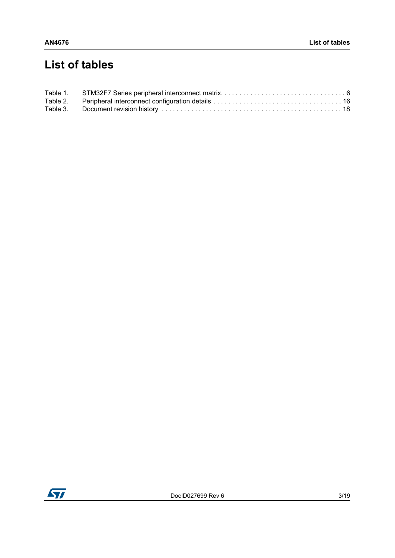# **List of tables**

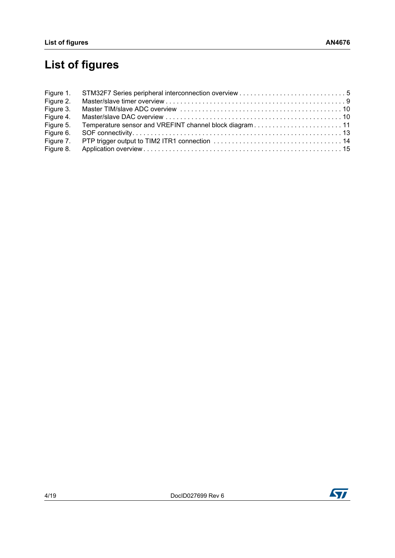# **List of figures**

| Figure 1. |  |
|-----------|--|
| Figure 2. |  |
| Figure 3. |  |
| Figure 4. |  |
| Figure 5. |  |
| Figure 6. |  |
| Figure 7. |  |
| Figure 8. |  |

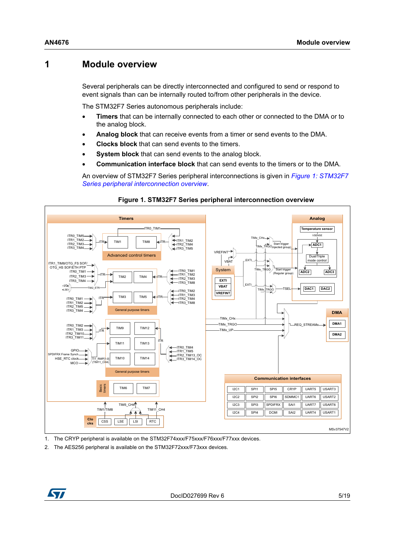## <span id="page-4-0"></span>**1 Module overview**

Several peripherals can be directly interconnected and configured to send or respond to event signals than can be internally routed to/from other peripherals in the device.

The STM32F7 Series autonomous peripherals include:

- **Timers** that can be internally connected to each other or connected to the DMA or to the analog block.
- **Analog block** that can receive events from a timer or send events to the DMA.
- **Clocks block** that can send events to the timers.
- **System block** that can send events to the analog block.
- **Communication interface block** that can send events to the timers or to the DMA.

<span id="page-4-1"></span>An overview of STM32F7 Series peripheral interconnections is given in *Figure [1: STM32F7](#page-4-1)  [Series peripheral interconnection overview](#page-4-1)*.



#### **Figure 1. STM32F7 Series peripheral interconnection overview**

1. The CRYP peripheral is available on the STM32F74xxx/F75xxx/F76xxx/F77xxx devices.

2. The AES256 peripheral is available on the STM32F72xxx/F73xxx devices.

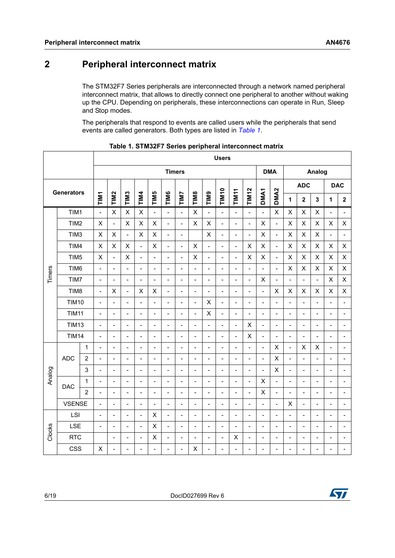# <span id="page-5-0"></span>**2 Peripheral interconnect matrix**

The STM32F7 Series peripherals are interconnected through a network named peripheral interconnect matrix, that allows to directly connect one peripheral to another without waking up the CPU. Depending on peripherals, these interconnections can operate in Run, Sleep and Stop modes.

The peripherals that respond to events are called users while the peripherals that send events are called generators. Both types are listed in *[Table](#page-5-1) 1*.

<span id="page-5-1"></span>

|        |                                |                |                          |                          |                              |                          |                          |                              |                          |                          |                              | <b>Users</b>             |                          |                          |                          |                              |                           |                          |                              |                              |                          |
|--------|--------------------------------|----------------|--------------------------|--------------------------|------------------------------|--------------------------|--------------------------|------------------------------|--------------------------|--------------------------|------------------------------|--------------------------|--------------------------|--------------------------|--------------------------|------------------------------|---------------------------|--------------------------|------------------------------|------------------------------|--------------------------|
|        |                                |                |                          | <b>Timers</b>            |                              |                          |                          |                              |                          |                          |                              |                          | <b>DMA</b>               |                          | Analog                   |                              |                           |                          |                              |                              |                          |
|        | <b>Generators</b>              |                |                          |                          |                              |                          |                          |                              |                          |                          |                              |                          |                          |                          |                          |                              | <b>ADC</b>                |                          |                              | <b>DAC</b>                   |                          |
|        |                                |                | TIM1                     | TIM <sub>2</sub>         | TIM <sub>3</sub>             | TIM4                     | TIM5                     | TIM6                         | <b>TIMI7</b>             | <b>TIM8</b>              | TIM9                         | <b>TIM10</b>             | TIM11                    | <b>TIM12</b>             | DMA <sub>1</sub>         | DMA <sub>2</sub>             | 1                         | $\overline{\mathbf{2}}$  | $\mathbf{3}$                 | 1                            | $\mathbf{2}$             |
|        | TIM1                           |                | $\blacksquare$           | $\times$                 | $\times$                     | $\pmb{\mathsf{X}}$       | $\overline{\phantom{a}}$ | $\overline{a}$               | $\overline{\phantom{a}}$ | $\times$                 | $\overline{a}$               | $\overline{\phantom{a}}$ | $\overline{\phantom{a}}$ | $\overline{\phantom{a}}$ | $\frac{1}{2}$            | $\mathsf{X}$                 | $\pmb{\times}$            | X                        | X                            | ÷                            | $\blacksquare$           |
|        | TIM2                           |                | $\mathsf X$              | $\frac{1}{2}$            | X                            | X                        | X                        | $\frac{1}{2}$                | $\frac{1}{2}$            | $\pmb{\times}$           | X                            | $\qquad \qquad -$        | $\overline{a}$           | $\overline{\phantom{a}}$ | X                        | $\overline{a}$               | $\times$                  | X                        | X                            | $\mathsf X$                  | $\pmb{\times}$           |
|        | TIM <sub>3</sub>               |                | $\times$                 | $\pmb{\times}$           | $\overline{\phantom{a}}$     | X                        | X                        | $\overline{\phantom{a}}$     | $\overline{\phantom{a}}$ |                          | X                            | $\qquad \qquad -$        | $\overline{a}$           | $\qquad \qquad -$        | X                        | $\frac{1}{2}$                | X                         | X                        | X                            | $\overline{\phantom{a}}$     | $\overline{\phantom{a}}$ |
|        | TIM4                           |                | $\mathsf X$              | X                        | X                            | $\overline{a}$           | X                        | $\frac{1}{2}$                | $\frac{1}{2}$            | $\times$                 | $\blacksquare$               | $\frac{1}{2}$            | $\blacksquare$           | $\pmb{\times}$           | X                        | $\blacksquare$               | $\pmb{\times}$            | X                        | $\mathsf X$                  | X                            | X                        |
|        | TIM <sub>5</sub>               |                | $\mathsf{X}$             | $\overline{\phantom{0}}$ | X                            | $\overline{a}$           | $\overline{a}$           | $\overline{a}$               | $\overline{a}$           | $\pmb{\times}$           | $\overline{\phantom{0}}$     | $\overline{a}$           | $\overline{a}$           | $\mathsf X$              | X                        | $\frac{1}{2}$                | $\mathsf{X}$              | X                        | X                            | $\pmb{\times}$               | X                        |
| Timers | TIM <sub>6</sub>               |                | $\blacksquare$           | $\overline{a}$           | $\overline{a}$               | $\overline{a}$           |                          | $\overline{a}$               | L,                       | $\overline{\phantom{a}}$ | $\overline{\phantom{0}}$     | ۳                        | L,                       | L,                       | $\overline{a}$           | $\overline{a}$               | $\pmb{\times}$            | X                        | X                            | $\mathsf X$                  | $\sf X$                  |
|        | TIM7                           |                | $\blacksquare$           | $\overline{\phantom{a}}$ | $\blacksquare$               | $\overline{a}$           | $\overline{a}$           | $\overline{a}$               | $\overline{a}$           | $\overline{\phantom{0}}$ | $\overline{\phantom{a}}$     | $\overline{\phantom{a}}$ | $\overline{a}$           | $\overline{a}$           | X                        | $\blacksquare$               | $\overline{a}$            | $\overline{a}$           | $\overline{a}$               | $\pmb{\times}$               | X                        |
|        | TIM <sub>8</sub>               |                | $\overline{\phantom{a}}$ | X                        | $\frac{1}{2}$                | Χ                        | X                        | $\qquad \qquad \blacksquare$ | $\overline{\phantom{a}}$ | $\blacksquare$           | $\blacksquare$               | $\overline{\phantom{a}}$ | $\frac{1}{2}$            | $\overline{\phantom{a}}$ | $\overline{a}$           | X                            | X                         | X                        | X                            | $\pmb{\times}$               | X                        |
|        | <b>TIM10</b><br>$\blacksquare$ |                |                          | $\overline{\phantom{0}}$ | $\frac{1}{2}$                | $\overline{\phantom{a}}$ | $\overline{a}$           | $\overline{a}$               | $\blacksquare$           | $\blacksquare$           | X                            | $\blacksquare$           | $\overline{\phantom{a}}$ | $\overline{\phantom{0}}$ | $\overline{\phantom{0}}$ | $\overline{\phantom{a}}$     | $\overline{a}$            | $\overline{a}$           | $\blacksquare$               | $\overline{\phantom{0}}$     | $\overline{\phantom{a}}$ |
|        | <b>TIM11</b><br>$\blacksquare$ |                |                          | ۰                        | $\overline{\phantom{a}}$     | ۰                        | $\overline{a}$           | $\overline{\phantom{a}}$     | $\overline{a}$           | $\blacksquare$           | X                            | ٠                        | ۰                        | ۰                        | $\overline{\phantom{a}}$ | ۰                            | $\overline{a}$            | $\overline{a}$           | $\blacksquare$               | ۰                            | $\overline{\phantom{a}}$ |
|        | <b>TIM13</b><br>$\blacksquare$ |                |                          | $\overline{\phantom{a}}$ | $\frac{1}{2}$                | $\qquad \qquad -$        | $\blacksquare$           | $\frac{1}{2}$                | $\blacksquare$           | $\blacksquare$           | $\overline{\phantom{0}}$     | $\overline{\phantom{a}}$ | $\frac{1}{2}$            | X                        | $\overline{\phantom{a}}$ | $\overline{\phantom{a}}$     | $\overline{a}$            | $\overline{\phantom{0}}$ | $\overline{\phantom{a}}$     | $\qquad \qquad \blacksquare$ | $\blacksquare$           |
|        | <b>TIM14</b>                   |                | $\overline{\phantom{a}}$ | $\overline{\phantom{0}}$ | $\qquad \qquad \blacksquare$ | $\overline{a}$           | $\blacksquare$           | $\qquad \qquad \blacksquare$ | $\overline{a}$           | $\overline{\phantom{a}}$ | $\overline{\phantom{0}}$     | $\qquad \qquad -$        | $\blacksquare$           | $\mathsf X$              | $\blacksquare$           | $\qquad \qquad \blacksquare$ | $\overline{\phantom{a}}$  | $\overline{\phantom{0}}$ | $\qquad \qquad \blacksquare$ | $\qquad \qquad \blacksquare$ | $\qquad \qquad -$        |
|        |                                | 1              | $\overline{\phantom{a}}$ | $\overline{\phantom{a}}$ | $\overline{a}$               | $\overline{a}$           | $\overline{a}$           | $\blacksquare$               | $\overline{\phantom{a}}$ | $\overline{\phantom{a}}$ | $\overline{\phantom{a}}$     | $\qquad \qquad -$        | $\frac{1}{2}$            | $\qquad \qquad -$        | $\blacksquare$           | X                            | $\blacksquare$            | X                        | X                            | $\blacksquare$               | $\overline{\phantom{a}}$ |
|        | <b>ADC</b>                     | $\overline{2}$ | $\blacksquare$           | $\overline{\phantom{0}}$ | $\blacksquare$               | ÷                        | $\overline{a}$           | $\overline{a}$               | $\overline{a}$           | $\overline{\phantom{a}}$ | $\qquad \qquad -$            | ٠                        | ÷                        | $\overline{a}$           | $\overline{\phantom{a}}$ | X                            | $\overline{\phantom{0}}$  | $\overline{\phantom{0}}$ | $\blacksquare$               | $\overline{\phantom{a}}$     | $\overline{a}$           |
|        |                                | 3              | $\overline{a}$           | $\overline{a}$           | $\overline{a}$               | $\overline{a}$           | $\overline{a}$           | $\overline{a}$               | $\overline{a}$           | $\overline{a}$           | $\overline{\phantom{0}}$     | $\overline{a}$           | ÷                        | L,                       | $\overline{a}$           | X                            | $\overline{a}$            | $\overline{a}$           | $\overline{a}$               | $\overline{a}$               | $\blacksquare$           |
| Analog | <b>DAC</b>                     | $\mathbf 1$    | $\overline{\phantom{a}}$ | $\overline{\phantom{0}}$ | $\overline{a}$               | $\overline{a}$           | $\overline{a}$           | $\frac{1}{2}$                | $\overline{a}$           | $\qquad \qquad -$        | $\overline{\phantom{0}}$     | $\overline{\phantom{a}}$ | $\overline{a}$           | $\frac{1}{2}$            | X                        | $\overline{\phantom{a}}$     | $\overline{\phantom{0}}$  | $\overline{a}$           | $\overline{\phantom{a}}$     | $\overline{\phantom{a}}$     | $\overline{\phantom{m}}$ |
|        |                                | $\overline{2}$ | $\overline{\phantom{a}}$ | $\overline{\phantom{0}}$ | $\overline{a}$               | $\overline{a}$           | $\overline{a}$           | $\frac{1}{2}$                | $\overline{\phantom{a}}$ | $\qquad \qquad -$        | $\overline{\phantom{a}}$     | $\qquad \qquad -$        | $\overline{\phantom{a}}$ | $\overline{\phantom{0}}$ | X                        | $\blacksquare$               | $\overline{a}$            | $\overline{a}$           | $\overline{\phantom{a}}$     | $\overline{\phantom{a}}$     | $\overline{\phantom{a}}$ |
|        | <b>VSENSE</b>                  |                | $\overline{\phantom{a}}$ | $\overline{\phantom{a}}$ | $\overline{a}$               | $\overline{a}$           | $\overline{a}$           | $\overline{a}$               | $\overline{a}$           | $\overline{\phantom{a}}$ | $\overline{\phantom{a}}$     | $\overline{\phantom{a}}$ | $\overline{a}$           | $\overline{a}$           | $\overline{a}$           | $\blacksquare$               | $\boldsymbol{\mathsf{X}}$ | $\overline{a}$           | $\overline{\phantom{a}}$     | L,                           | $\overline{\phantom{0}}$ |
|        | LSI                            |                | $\blacksquare$           | ۰                        | $\blacksquare$               | $\overline{a}$           | X                        | $\overline{a}$               | ٠                        | $\overline{\phantom{0}}$ | $\overline{\phantom{0}}$     | $\overline{\phantom{a}}$ | $\overline{\phantom{a}}$ | ۰                        | $\overline{\phantom{a}}$ | $\overline{a}$               | $\overline{\phantom{a}}$  | $\overline{a}$           | $\blacksquare$               | ۰                            | ÷                        |
| Clocks | LSE                            |                | $\overline{a}$           | $\blacksquare$           | $\overline{\phantom{0}}$     | $\overline{a}$           | X                        | $\overline{a}$               | $\overline{\phantom{0}}$ | $\blacksquare$           | $\overline{\phantom{a}}$     | $\overline{\phantom{0}}$ | $\overline{a}$           | $\overline{a}$           | $\overline{a}$           | $\blacksquare$               | $\blacksquare$            | $\overline{a}$           | $\overline{\phantom{a}}$     | $\overline{a}$               | $\overline{\phantom{0}}$ |
|        | <b>RTC</b>                     |                |                          | $\overline{\phantom{a}}$ | $\qquad \qquad -$            | $\overline{a}$           | X                        | $\overline{\phantom{a}}$     | $\overline{\phantom{a}}$ | $\blacksquare$           | $\overline{\phantom{a}}$     | $\blacksquare$           | X                        | $\qquad \qquad -$        | $\overline{\phantom{a}}$ | $\overline{\phantom{a}}$     | $\blacksquare$            | $\overline{\phantom{0}}$ | $\overline{\phantom{a}}$     | $\overline{\phantom{a}}$     | $\blacksquare$           |
|        | <b>CSS</b>                     |                | $\pmb{\times}$           | $\overline{\phantom{0}}$ | $\frac{1}{2}$                | ÷                        | $\blacksquare$           | $\overline{\phantom{0}}$     | $\overline{a}$           | X                        | $\qquad \qquad \blacksquare$ | ۳                        | $\qquad \qquad -$        | $\overline{\phantom{0}}$ | $\blacksquare$           | $\qquad \qquad \blacksquare$ | $\overline{a}$            | $\overline{\phantom{0}}$ | $\overline{a}$               | $\qquad \qquad \blacksquare$ | $\overline{\phantom{a}}$ |

**Table 1. STM32F7 Series peripheral interconnect matrix** 



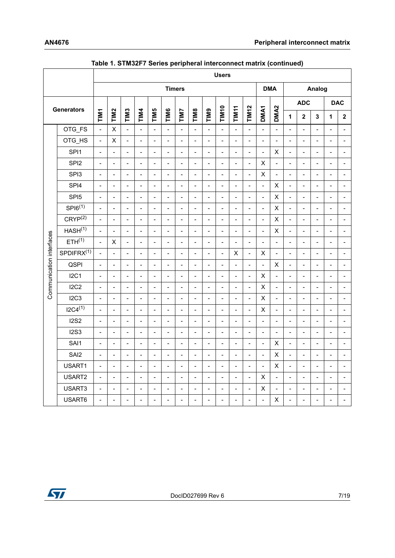|                          |                        |                          |                          |                          |                |                |                |                          |                          |                          | <b>Users</b>             |                           |                          |                |                              |                          |                          |                          |                          |                              |
|--------------------------|------------------------|--------------------------|--------------------------|--------------------------|----------------|----------------|----------------|--------------------------|--------------------------|--------------------------|--------------------------|---------------------------|--------------------------|----------------|------------------------------|--------------------------|--------------------------|--------------------------|--------------------------|------------------------------|
|                          |                        |                          |                          |                          |                |                |                | <b>Timers</b>            |                          |                          |                          |                           |                          |                | <b>DMA</b>                   | Analog                   |                          |                          |                          |                              |
|                          |                        |                          |                          |                          |                |                |                |                          |                          |                          |                          |                           | <b>TIM12</b>             |                |                              | <b>ADC</b>               |                          |                          | <b>DAC</b>               |                              |
|                          | <b>Generators</b>      | TIM1                     | TIM <sub>2</sub>         | TIM <sub>3</sub>         | TIM4           | TIM5           | TIM6           | <b>TIM7</b>              | TIM8                     | <b>EIMIJ</b>             | <b>TIM10</b>             | TIM <sub>11</sub>         |                          | DMA1           | DMA <sub>2</sub>             | 1                        | $\overline{\mathbf{2}}$  | $\overline{\mathbf{3}}$  | 1                        | $\mathbf{2}$                 |
|                          | OTG_FS                 | $\overline{a}$           | $\sf X$                  | $\overline{a}$           | $\overline{a}$ | $\overline{a}$ | $\overline{a}$ | $\overline{a}$           | $\overline{\phantom{a}}$ | $\overline{a}$           | $\overline{a}$           | $\overline{a}$            | $\overline{a}$           | $\overline{a}$ | $\overline{a}$               | $\overline{a}$           | $\overline{a}$           | $\blacksquare$           | $\overline{a}$           | $\overline{a}$               |
|                          | OTG HS                 | $\overline{a}$           | X                        | $\frac{1}{2}$            | $\overline{a}$ | $\overline{a}$ | $\overline{a}$ | $\overline{\phantom{a}}$ | $\overline{\phantom{a}}$ | $\blacksquare$           | $\overline{a}$           | $\blacksquare$            | $\overline{a}$           | $\overline{a}$ | $\blacksquare$               | $\blacksquare$           | $\overline{\phantom{a}}$ | $\blacksquare$           | $\sim$                   | $\overline{a}$               |
|                          | SPI1                   | $\overline{a}$           | $\overline{a}$           | $\overline{a}$           | $\overline{a}$ | $\overline{a}$ | $\overline{a}$ | $\overline{a}$           | $\blacksquare$           | $\blacksquare$           | $\blacksquare$           | $\blacksquare$            | $\overline{a}$           | $\overline{a}$ | $\pmb{\times}$               | $\overline{a}$           | $\blacksquare$           | $\blacksquare$           | $\blacksquare$           | $\overline{a}$               |
|                          | SPI <sub>2</sub>       | $\overline{\phantom{a}}$ | $\overline{a}$           | $\overline{a}$           | $\overline{a}$ | $\overline{a}$ | $\overline{a}$ | $\overline{a}$           | $\frac{1}{2}$            | $\blacksquare$           | $\overline{\phantom{a}}$ | $\blacksquare$            | $\overline{\phantom{a}}$ | X              | $\overline{a}$               | $\frac{1}{2}$            | $\frac{1}{2}$            | $\overline{\phantom{a}}$ | $\sim$                   | $\overline{a}$               |
|                          | SPI3                   | $\overline{a}$           | $\overline{a}$           | $\frac{1}{2}$            | $\overline{a}$ | $\overline{a}$ | $\overline{a}$ | $\overline{a}$           | $\overline{a}$           | $\blacksquare$           | $\overline{a}$           | $\blacksquare$            | $\overline{a}$           | $\mathsf X$    | $\overline{a}$               | $\overline{a}$           | $\overline{\phantom{a}}$ | $\blacksquare$           | $\sim$                   | $\overline{\phantom{0}}$     |
|                          | SPI4                   | $\overline{\phantom{a}}$ | $\overline{a}$           | $\overline{a}$           | $\overline{a}$ | $\overline{a}$ | $\overline{a}$ | $\overline{a}$           | $\overline{a}$           | $\blacksquare$           | $\overline{a}$           | $\overline{\phantom{a}}$  | $\overline{a}$           | $\overline{a}$ | $\mathsf X$                  | $\overline{a}$           | $\frac{1}{2}$            | $\blacksquare$           | $\sim$                   | $\overline{a}$               |
|                          | SPI <sub>5</sub>       | $\overline{a}$           | $\blacksquare$           | $\overline{\phantom{a}}$ | $\overline{a}$ | $\overline{a}$ | $\overline{a}$ | $\overline{a}$           | $\blacksquare$           | $\blacksquare$           | $\overline{\phantom{a}}$ | $\blacksquare$            | $\overline{a}$           | $\overline{a}$ | $\pmb{\mathsf{X}}$           | $\overline{a}$           | $\overline{\phantom{a}}$ | $\blacksquare$           | $\blacksquare$           | $\overline{\phantom{0}}$     |
|                          | $SP16^{(1)}$           | $\overline{a}$           | $\overline{a}$           | $\frac{1}{2}$            | $\overline{a}$ | $\overline{a}$ | $\overline{a}$ | $\overline{\phantom{a}}$ | $\overline{a}$           | $\blacksquare$           | $\frac{1}{2}$            | $\overline{a}$            | $\frac{1}{2}$            | $\frac{1}{2}$  | $\pmb{\mathsf{X}}$           | $\overline{a}$           | $\blacksquare$           | $\blacksquare$           | $\overline{a}$           | $\overline{a}$               |
|                          | CRYP <sup>(2)</sup>    | $\overline{a}$           | $\overline{a}$           | $\overline{a}$           | $\overline{a}$ | $\overline{a}$ | $\overline{a}$ | $\overline{a}$           | $\overline{\phantom{a}}$ | $\blacksquare$           | $\overline{\phantom{a}}$ | $\overline{\phantom{a}}$  | $\overline{a}$           | $\overline{a}$ | $\pmb{\mathsf{X}}$           | $\overline{a}$           | $\blacksquare$           | $\blacksquare$           | $\overline{\phantom{a}}$ | $\overline{\phantom{0}}$     |
|                          | HASH <sup>(1)</sup>    | $\overline{a}$           | $\overline{\phantom{a}}$ | $\qquad \qquad -$        | $\overline{a}$ | $\overline{a}$ | $\overline{a}$ | $\overline{a}$           | $\overline{a}$           | $\overline{\phantom{a}}$ | $\frac{1}{2}$            | $\overline{a}$            | $\frac{1}{2}$            | $\overline{a}$ | $\mathsf X$                  | $\overline{\phantom{a}}$ | $\blacksquare$           | $\overline{\phantom{a}}$ | $\overline{a}$           | $\overline{a}$               |
|                          | ETH <sup>(1)</sup>     | $\overline{a}$           | $\pmb{\mathsf{X}}$       | $\overline{a}$           | $\overline{a}$ | $\overline{a}$ | $\overline{a}$ | $\overline{a}$           | $\overline{a}$           | $\overline{a}$           | $\overline{a}$           | $\overline{a}$            | $\overline{a}$           | $\overline{a}$ | $\frac{1}{2}$                | $\overline{a}$           | $\sim$                   | $\blacksquare$           | $\overline{a}$           | $\overline{\phantom{0}}$     |
|                          | SPDIFRX <sup>(1)</sup> | $\overline{a}$           | $\overline{a}$           | $\frac{1}{2}$            | $\overline{a}$ | $\overline{a}$ | $\overline{a}$ | $\overline{a}$           | $\overline{\phantom{a}}$ | $\overline{a}$           | $\overline{\phantom{a}}$ | $\boldsymbol{\mathsf{X}}$ | $\overline{a}$           | X              | $\blacksquare$               | $\blacksquare$           | $\overline{\phantom{a}}$ | $\blacksquare$           | $\sim$                   | $\overline{\phantom{0}}$     |
|                          | <b>QSPI</b>            | $\overline{a}$           | $\overline{\phantom{a}}$ | $\overline{a}$           | $\overline{a}$ | $\overline{a}$ | $\overline{a}$ | $\overline{a}$           | $\overline{a}$           | $\blacksquare$           | $\blacksquare$           | $\overline{\phantom{a}}$  | $\overline{a}$           | $\overline{a}$ | $\pmb{\mathsf{X}}$           | $\frac{1}{2}$            | $\overline{\phantom{a}}$ | $\overline{\phantom{a}}$ | $\overline{a}$           | $\overline{\phantom{0}}$     |
|                          | I2C1                   | $\overline{a}$           | $\overline{a}$           | $\overline{a}$           | $\overline{a}$ | $\overline{a}$ | $\overline{a}$ | $\overline{a}$           | $\blacksquare$           | $\blacksquare$           | $\blacksquare$           | $\overline{a}$            | $\frac{1}{2}$            | $\sf X$        | $\qquad \qquad \blacksquare$ | $\blacksquare$           | $\overline{\phantom{a}}$ | $\blacksquare$           | $\overline{a}$           | $\overline{a}$               |
| Communication interfaces | I2C2                   | $\overline{a}$           | $\overline{a}$           | $\overline{a}$           | $\overline{a}$ | $\overline{a}$ | $\overline{a}$ | $\overline{a}$           | $\overline{a}$           | $\blacksquare$           | $\overline{a}$           | $\overline{\phantom{a}}$  | $\overline{a}$           | X              | $\overline{a}$               | $\overline{\phantom{a}}$ | $\overline{\phantom{a}}$ | $\blacksquare$           | $\sim$                   | $\overline{\phantom{0}}$     |
|                          | I2C3                   | $\overline{\phantom{a}}$ | $\overline{a}$           | $\blacksquare$           | $\overline{a}$ | $\overline{a}$ | $\overline{a}$ | $\overline{a}$           | $\overline{a}$           | $\overline{a}$           | $\frac{1}{2}$            | $\blacksquare$            | $\overline{a}$           | X              | $\blacksquare$               | $\blacksquare$           | $\overline{\phantom{a}}$ | $\overline{\phantom{a}}$ | $\sim$                   | $\overline{\phantom{0}}$     |
|                          | $12C4^{(1)}$           | $\overline{a}$           | $\overline{a}$           | $\overline{a}$           | $\overline{a}$ | $\overline{a}$ | $\overline{a}$ | $\overline{a}$           | $\blacksquare$           | $\blacksquare$           | $\overline{a}$           | $\overline{a}$            | $\frac{1}{2}$            | X              | $\blacksquare$               | $\blacksquare$           | $\overline{\phantom{a}}$ | $\blacksquare$           | $\overline{a}$           | $\overline{a}$               |
|                          | <b>I2S2</b>            | $\frac{1}{2}$            | $\overline{a}$           | $\overline{a}$           | $\overline{a}$ | $\overline{a}$ | $\overline{a}$ | $\overline{a}$           | $\overline{\phantom{a}}$ | $\blacksquare$           | $\overline{a}$           | $\overline{a}$            | $\frac{1}{2}$            | $\overline{a}$ | $\blacksquare$               | $\overline{\phantom{a}}$ | $\overline{\phantom{a}}$ | $\blacksquare$           | $\overline{a}$           | $\overline{a}$               |
|                          | <b>I2S3</b>            | $\overline{a}$           | $\blacksquare$           | $\blacksquare$           | $\overline{a}$ | $\overline{a}$ | $\overline{a}$ | $\overline{a}$           | $\overline{a}$           | $\blacksquare$           | $\blacksquare$           | $\overline{a}$            | $\overline{a}$           | $\blacksquare$ | $\overline{a}$               | $\blacksquare$           | $\blacksquare$           | $\blacksquare$           | $\sim$                   | $\blacksquare$               |
|                          | SAI1                   | $\frac{1}{2}$            | $\overline{a}$           | $\frac{1}{2}$            | $\overline{a}$ | $\overline{a}$ | $\overline{a}$ | $\overline{a}$           | $\blacksquare$           | $\blacksquare$           | $\frac{1}{2}$            | $\blacksquare$            | $\frac{1}{2}$            | $\frac{1}{2}$  | $\pmb{\mathsf{X}}$           | $\blacksquare$           | $\overline{\phantom{a}}$ | $\overline{\phantom{a}}$ | $\blacksquare$           | $\overline{\phantom{0}}$     |
|                          | SAI2                   | $\overline{a}$           | $\overline{a}$           | $\frac{1}{2}$            | $\overline{a}$ | $\overline{a}$ | $\overline{a}$ | $\overline{a}$           | $\overline{a}$           | $\overline{a}$           | $\overline{a}$           | $\overline{a}$            | $\overline{a}$           | $\overline{a}$ | $\pmb{\mathsf{X}}$           | $\overline{a}$           | $\overline{a}$           | $\blacksquare$           | $\overline{a}$           | $\overline{\phantom{0}}$     |
|                          | USART1                 | $\overline{\phantom{a}}$ | $\overline{\phantom{a}}$ | $\frac{1}{2}$            | $\overline{a}$ | $\overline{a}$ | $\overline{a}$ | $\overline{a}$           | $\sim$                   | $\blacksquare$           | $\overline{a}$           | $\overline{a}$            | $\overline{a}$           | $\overline{a}$ | $\mathsf X$                  | $\blacksquare$           | $\overline{\phantom{a}}$ | $\blacksquare$           | $\overline{\phantom{a}}$ | $\overline{a}$               |
|                          | USART2                 | $\frac{1}{2}$            | $\overline{\phantom{a}}$ | $\frac{1}{2}$            | $\overline{a}$ | $\overline{a}$ | $\overline{a}$ | $\overline{a}$           | $\overline{a}$           | $\blacksquare$           | $\blacksquare$           | $\blacksquare$            | $\overline{a}$           | X              | $\blacksquare$               | $\overline{\phantom{a}}$ | $\blacksquare$           | $\blacksquare$           | $\blacksquare$           | $\overline{\phantom{0}}$     |
|                          | USART3                 | $\overline{\phantom{a}}$ | $\overline{a}$           | $\overline{a}$           | $\overline{a}$ | $\overline{a}$ | $\overline{a}$ | $\overline{a}$           | $\blacksquare$           | $\overline{\phantom{a}}$ | $\blacksquare$           | $\overline{a}$            | $\overline{a}$           | X              | $\blacksquare$               | $\overline{\phantom{a}}$ | $\overline{\phantom{a}}$ | $\blacksquare$           | $\overline{a}$           | $\qquad \qquad \blacksquare$ |
|                          | USART6                 | $\overline{a}$           | $\overline{a}$           | $\overline{a}$           | $\overline{a}$ | $\overline{a}$ | $\overline{a}$ | $\overline{a}$           | $\overline{a}$           | $\frac{1}{2}$            | $\frac{1}{2}$            | $\overline{a}$            | $\frac{1}{2}$            | $\overline{a}$ | $\mathsf X$                  | $\frac{1}{2}$            | $\overline{a}$           | $\overline{\phantom{a}}$ | $\overline{a}$           | $\qquad \qquad \blacksquare$ |

**Table 1. STM32F7 Series peripheral interconnect matrix (continued)**

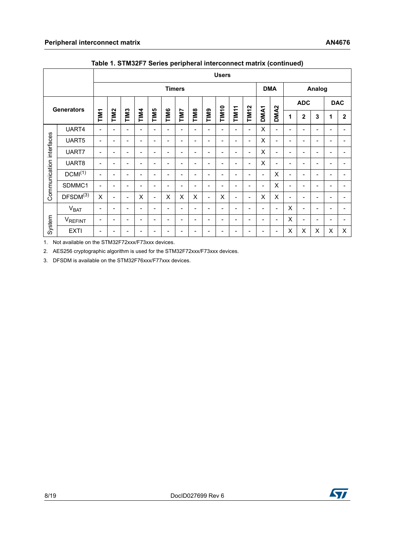<span id="page-7-0"></span>

|                          |                      | <b>Users</b>             |                          |                          |                              |                          |                              |                              |                              |                          |                          |                              |                              |                          |                          |                           |                              |                          |                              |                          |
|--------------------------|----------------------|--------------------------|--------------------------|--------------------------|------------------------------|--------------------------|------------------------------|------------------------------|------------------------------|--------------------------|--------------------------|------------------------------|------------------------------|--------------------------|--------------------------|---------------------------|------------------------------|--------------------------|------------------------------|--------------------------|
|                          |                      |                          |                          |                          |                              |                          | <b>Timers</b>                |                              |                              |                          |                          |                              |                              |                          | <b>DMA</b>               | Analog                    |                              |                          |                              |                          |
|                          |                      |                          |                          |                          |                              |                          |                              |                              |                              |                          |                          |                              |                              |                          |                          | <b>ADC</b>                |                              |                          | <b>DAC</b>                   |                          |
|                          | Generators           | TIM <sub>1</sub>         | TIM <sub>2</sub>         | TIM <sub>3</sub>         | TIM4                         | <b>TIM5</b>              | TIM6                         | TIM7                         | <b>TIM8</b>                  | <b>EIMIL</b>             | <b>TIM10</b>             | TIM11                        | <b>TIM12</b>                 | DMA <sub>1</sub>         | DMA <sub>2</sub>         | 1                         | $\mathbf 2$                  | $\mathbf 3$              | 1                            | $\boldsymbol{2}$         |
|                          | UART4                |                          | $\overline{\phantom{a}}$ | $\overline{\phantom{a}}$ | $\overline{a}$               | $\overline{\phantom{a}}$ | $\overline{\phantom{a}}$     | $\overline{a}$               | $\overline{\phantom{a}}$     | $\frac{1}{2}$            | $\overline{a}$           | $\overline{a}$               | $\overline{\phantom{0}}$     | $\sf X$                  | $\overline{\phantom{a}}$ |                           | $\overline{\phantom{0}}$     | $\overline{\phantom{a}}$ |                              | $\blacksquare$           |
| Communication interfaces | UART5                | $\blacksquare$           | $\overline{\phantom{a}}$ | $\overline{\phantom{a}}$ | $\overline{\phantom{a}}$     | $\overline{\phantom{a}}$ | $\overline{\phantom{0}}$     | $\blacksquare$               | $\blacksquare$               | $\blacksquare$           | $\blacksquare$           | $\overline{a}$               | $\overline{\phantom{0}}$     | X                        | $\overline{\phantom{a}}$ | $\blacksquare$            | $\blacksquare$               | $\blacksquare$           | $\overline{\phantom{a}}$     | $\blacksquare$           |
|                          | UART7                | $\overline{\phantom{a}}$ | $\overline{\phantom{a}}$ | $\overline{\phantom{a}}$ | $\blacksquare$               | $\overline{\phantom{a}}$ | $\overline{\phantom{a}}$     | $\qquad \qquad \blacksquare$ | $\qquad \qquad \blacksquare$ | $\overline{\phantom{a}}$ | $\overline{\phantom{a}}$ | $\qquad \qquad \blacksquare$ | $\qquad \qquad \blacksquare$ | X                        | $\overline{\phantom{a}}$ | $\overline{\phantom{a}}$  | $\qquad \qquad \blacksquare$ | $\overline{\phantom{a}}$ | $\qquad \qquad \blacksquare$ | $\overline{\phantom{a}}$ |
|                          | UART8                | $\overline{\phantom{a}}$ | $\overline{\phantom{a}}$ | $\overline{\phantom{a}}$ | $\overline{\phantom{a}}$     | $\overline{\phantom{a}}$ | $\overline{\phantom{a}}$     | $\overline{\phantom{a}}$     | $\overline{\phantom{a}}$     | $\overline{\phantom{a}}$ | $\overline{\phantom{a}}$ | $\qquad \qquad \blacksquare$ | $\overline{\phantom{a}}$     | X                        | $\overline{\phantom{a}}$ | $\overline{\phantom{a}}$  | $\overline{\phantom{a}}$     | $\overline{\phantom{a}}$ | $\overline{\phantom{a}}$     | $\overline{\phantom{a}}$ |
|                          | DCMI <sup>(1)</sup>  | $\overline{\phantom{a}}$ | $\overline{\phantom{a}}$ | $\overline{\phantom{a}}$ | $\overline{\phantom{a}}$     | $\overline{\phantom{a}}$ | $\overline{\phantom{a}}$     | $\overline{\phantom{a}}$     | $\overline{\phantom{a}}$     | $\overline{\phantom{a}}$ | $\overline{\phantom{0}}$ | $\overline{\phantom{0}}$     | $\overline{\phantom{0}}$     | $\overline{\phantom{a}}$ | X                        | $\overline{\phantom{a}}$  | $\overline{\phantom{a}}$     | $\blacksquare$           | $\qquad \qquad -$            | $\overline{\phantom{a}}$ |
|                          | SDMMC1               |                          | $\blacksquare$           | $\overline{\phantom{a}}$ | $\qquad \qquad \blacksquare$ | $\overline{\phantom{a}}$ | $\qquad \qquad \blacksquare$ | $\overline{\phantom{a}}$     | $\overline{\phantom{a}}$     | $\blacksquare$           | ۰                        | $\qquad \qquad \blacksquare$ | ۰                            | $\overline{\phantom{a}}$ | $\pmb{\times}$           | $\overline{\phantom{a}}$  | $\blacksquare$               | $\overline{\phantom{a}}$ | ۰                            | $\overline{\phantom{a}}$ |
|                          | DFSDM <sup>(3)</sup> | $\pmb{\times}$           | $\overline{\phantom{a}}$ | $\blacksquare$           | X                            | $\overline{\phantom{a}}$ | X                            | X                            | X                            | $\blacksquare$           | X                        | $\qquad \qquad \blacksquare$ | $\overline{\phantom{0}}$     | $\pmb{\times}$           | $\pmb{\times}$           | $\overline{\phantom{a}}$  | $\overline{\phantom{a}}$     | $\overline{\phantom{a}}$ | ÷                            | $\overline{\phantom{a}}$ |
|                          | $V_{BAT}$            | $\blacksquare$           | $\overline{\phantom{a}}$ | $\overline{\phantom{a}}$ | $\overline{\phantom{a}}$     | $\overline{\phantom{a}}$ | $\frac{1}{2}$                | $\overline{\phantom{a}}$     | $\overline{\phantom{a}}$     | $\overline{\phantom{a}}$ | $\overline{\phantom{0}}$ | $\frac{1}{2}$                | $\overline{\phantom{0}}$     | $\frac{1}{2}$            | $\Box$                   | $\pmb{\times}$            | $\overline{\phantom{a}}$     | $\overline{\phantom{a}}$ | $\overline{\phantom{a}}$     | $\overline{\phantom{a}}$ |
| System                   | VREFINT              | $\overline{\phantom{a}}$ | $\overline{\phantom{a}}$ | $\overline{\phantom{a}}$ | $\qquad \qquad -$            | $\blacksquare$           | $\overline{\phantom{a}}$     | $\overline{\phantom{a}}$     | $\overline{\phantom{a}}$     | $\blacksquare$           | $\overline{\phantom{a}}$ | $\overline{\phantom{a}}$     | ۰                            | $\overline{\phantom{a}}$ | $\overline{\phantom{a}}$ | $\pmb{\times}$            | $\overline{\phantom{a}}$     | $\overline{\phantom{a}}$ | $\overline{\phantom{a}}$     | $\blacksquare$           |
|                          | <b>EXTI</b>          | $\blacksquare$           | $\overline{\phantom{a}}$ | $\overline{\phantom{a}}$ | $\overline{\phantom{0}}$     | $\overline{\phantom{a}}$ | $\overline{a}$               | $\overline{\phantom{a}}$     | $\overline{\phantom{a}}$     | $\overline{a}$           | $\overline{\phantom{0}}$ | $\overline{a}$               | $\overline{\phantom{0}}$     | $\frac{1}{2}$            | $\overline{\phantom{a}}$ | $\boldsymbol{\mathsf{X}}$ | X                            | X                        | X                            | X                        |
|                          |                      |                          |                          |                          |                              |                          |                              |                              |                              |                          |                          |                              |                              |                          |                          |                           |                              |                          |                              |                          |
| 8/19                     |                      |                          |                          |                          |                              |                          |                              |                              | DocID027699 Rev 6            |                          |                          |                              |                              |                          |                          |                           |                              |                          |                              | ST                       |

**Table 1. STM32F7 Series peripheral interconnect matrix (continued)**

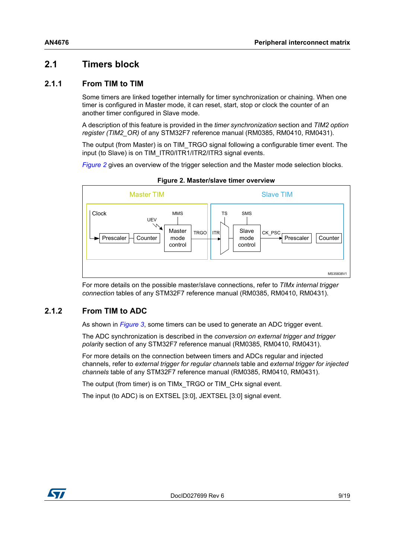# <span id="page-8-0"></span>**2.1 Timers block**

#### <span id="page-8-1"></span>**2.1.1 From TIM to TIM**

Some timers are linked together internally for timer synchronization or chaining. When one timer is configured in Master mode, it can reset, start, stop or clock the counter of an another timer configured in Slave mode.

A description of this feature is provided in the *timer synchronization* section and *TIM2 option register (TIM2\_OR)* of any STM32F7 reference manual (RM0385, RM0410, RM0431).

The output (from Master) is on TIM\_TRGO signal following a configurable timer event. The input (to Slave) is on TIM\_ITR0/ITR1/ITR2/ITR3 signal events.

*[Figure](#page-8-3) 2* gives an overview of the trigger selection and the Master mode selection blocks.

<span id="page-8-3"></span>

**Figure 2. Master/slave timer overview**

For more details on the possible master/slave connections, refer to *TIMx internal trigger connection* tables of any STM32F7 reference manual (RM0385, RM0410, RM0431).

#### <span id="page-8-2"></span>**2.1.2 From TIM to ADC**

As shown in *[Figure](#page-9-2) 3*, some timers can be used to generate an ADC trigger event.

The ADC synchronization is described in the *conversion on external trigger and trigger polarit*y section of any STM32F7 reference manual (RM0385, RM0410, RM0431).

For more details on the connection between timers and ADCs regular and injected channels, refer to *external trigger for regular channels* table and *external trigger for injected channels* table of any STM32F7 reference manual (RM0385, RM0410, RM0431).

The output (from timer) is on TIMx\_TRGO or TIM\_CHx signal event.

The input (to ADC) is on EXTSEL [3:0], JEXTSEL [3:0] signal event.

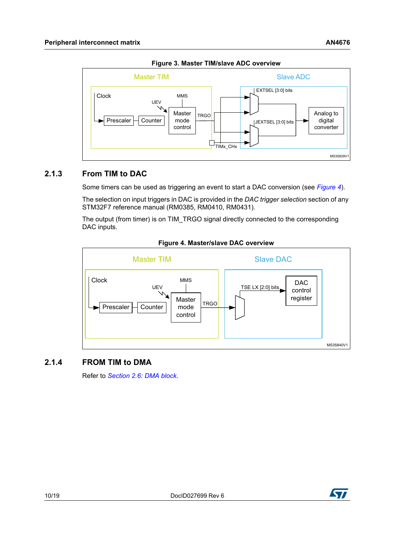<span id="page-9-2"></span>

**Figure 3. Master TIM/slave ADC overview**

## <span id="page-9-0"></span>**2.1.3 From TIM to DAC**

Some timers can be used as triggering an event to start a DAC conversion (see *[Figure](#page-9-3) 4*).

The selection on input triggers in DAC is provided in the *DAC trigger selection* section of any STM32F7 reference manual (RM0385, RM0410, RM0431).

The output (from timer) is on TIM\_TRGO signal directly connected to the corresponding DAC inputs.

<span id="page-9-3"></span>

#### **Figure 4. Master/slave DAC overview**

#### <span id="page-9-1"></span>**2.1.4 FROM TIM to DMA**

Refer to *Section [2.6: DMA block](#page-13-2)*.

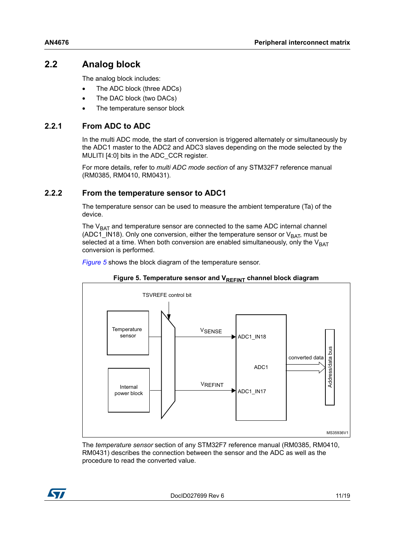# <span id="page-10-0"></span>**2.2 Analog block**

The analog block includes:

- The ADC block (three ADCs)
- The DAC block (two DACs)
- The temperature sensor block

### <span id="page-10-1"></span>**2.2.1 From ADC to ADC**

In the multi ADC mode, the start of conversion is triggered alternately or simultaneously by the ADC1 master to the ADC2 and ADC3 slaves depending on the mode selected by the MULITI [4:0] bits in the ADC\_CCR register.

For more details, refer to *multi ADC mode section* of any STM32F7 reference manual (RM0385, RM0410, RM0431).

### <span id="page-10-2"></span>**2.2.2 From the temperature sensor to ADC1**

The temperature sensor can be used to measure the ambient temperature (Ta) of the device.

The  $V<sub>BAT</sub>$  and temperature sensor are connected to the same ADC internal channel (ADC1\_IN18). Only one conversion, either the temperature sensor or  $V_{BAT}$ , must be selected at a time. When both conversion are enabled simultaneously, only the  $V_{BAT}$ conversion is performed.

*[Figure](#page-10-3) 5* shows the block diagram of the temperature sensor.

<span id="page-10-3"></span>



The *temperature sensor* section of any STM32F7 reference manual (RM0385, RM0410, RM0431) describes the connection between the sensor and the ADC as well as the procedure to read the converted value.

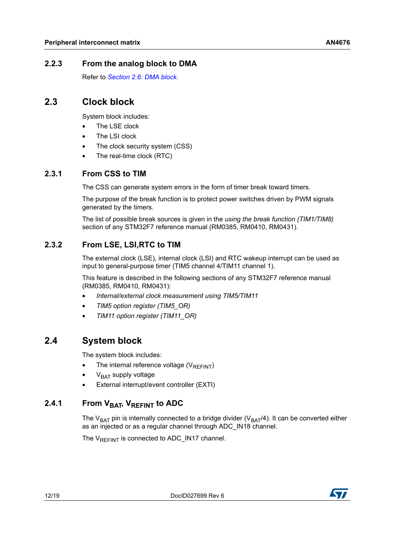## <span id="page-11-0"></span>**2.2.3 From the analog block to DMA**

Refer to *Section [2.6: DMA block](#page-13-2)*.

## <span id="page-11-1"></span>**2.3 Clock block**

System block includes:

- The LSE clock
- The LSI clock
- The clock security system (CSS)
- The real-time clock (RTC)

### <span id="page-11-2"></span>**2.3.1 From CSS to TIM**

The CSS can generate system errors in the form of timer break toward timers.

The purpose of the break function is to protect power switches driven by PWM signals generated by the timers.

The list of possible break sources is given in the *using the break function (TIM1/TIM8)* section of any STM32F7 reference manual (RM0385, RM0410, RM0431).

## <span id="page-11-3"></span>**2.3.2 From LSE, LSI,RTC to TIM**

The external clock (LSE), internal clock (LSI) and RTC wakeup interrupt can be used as input to general-purpose timer (TIM5 channel 4/TIM11 channel 1).

This feature is described in the following sections of any STM32F7 reference manual (RM0385, RM0410, RM0431):

- *Internal/external clock measurement using TIM5/TIM11*
- *TIM5 option register (TIM5\_OR)*
- *TIM11 option register (TIM11\_OR)*

# <span id="page-11-4"></span>**2.4 System block**

The system block includes:

- The internal reference voltage ( $V_{REFINT}$ )
- $V<sub>BAT</sub>$  supply voltage
- External interrupt/event controller (EXTI)

## <span id="page-11-5"></span>2.4.1 From V<sub>BAT</sub>, V<sub>REFINT</sub> to ADC

The V<sub>BAT</sub> pin is internally connected to a bridge divider (V<sub>BAT</sub>/4). It can be converted either as an injected or as a regular channel through ADC\_IN18 channel.

The  $V_{RFFINT}$  is connected to ADC\_IN17 channel.

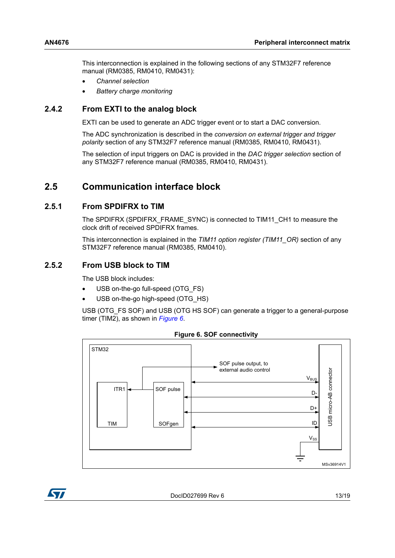This interconnection is explained in the following sections of any STM32F7 reference manual (RM0385, RM0410, RM0431):

- *Channel selection*
- *Battery charge monitoring*

#### <span id="page-12-0"></span>**2.4.2 From EXTI to the analog block**

EXTI can be used to generate an ADC trigger event or to start a DAC conversion.

The ADC synchronization is described in the *conversion on external trigger and trigger polarity* section of any STM32F7 reference manual (RM0385, RM0410, RM0431).

The selection of input triggers on DAC is provided in the *DAC trigger selection* section of any STM32F7 reference manual (RM0385, RM0410, RM0431).

## <span id="page-12-1"></span>**2.5 Communication interface block**

#### <span id="page-12-2"></span>**2.5.1 From SPDIFRX to TIM**

The SPDIFRX (SPDIFRX\_FRAME\_SYNC) is connected to TIM11\_CH1 to measure the clock drift of received SPDIFRX frames.

This interconnection is explained in the *TIM11 option register (TIM11\_OR)* section of any STM32F7 reference manual (RM0385, RM0410).

#### <span id="page-12-3"></span>**2.5.2 From USB block to TIM**

The USB block includes:

- USB on-the-go full-speed (OTG\_FS)
- USB on-the-go high-speed (OTG\_HS)

USB (OTG\_FS SOF) and USB (OTG HS SOF) can generate a trigger to a general-purpose timer (TIM2), as shown in *[Figure](#page-12-4) 6*.

<span id="page-12-4"></span>

**Figure 6. SOF connectivity**

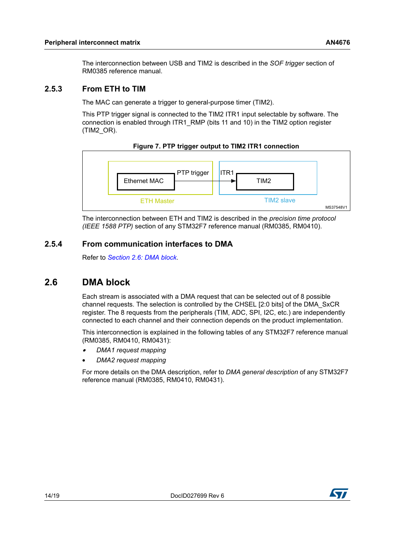The interconnection between USB and TIM2 is described in the *SOF trigger* section of RM0385 reference manual.

#### <span id="page-13-0"></span>**2.5.3 From ETH to TIM**

The MAC can generate a trigger to general-purpose timer (TIM2).

This PTP trigger signal is connected to the TIM2 ITR1 input selectable by software. The connection is enabled through ITR1\_RMP (bits 11 and 10) in the TIM2 option register (TIM2\_OR).



<span id="page-13-3"></span>

The interconnection between ETH and TIM2 is described in the *precision time protocol (IEEE 1588 PTP)* section of any STM32F7 reference manual (RM0385, RM0410).

#### <span id="page-13-1"></span>**2.5.4 From communication interfaces to DMA**

Refer to *Section [2.6: DMA block](#page-13-2)*.

# <span id="page-13-2"></span>**2.6 DMA block**

Each stream is associated with a DMA request that can be selected out of 8 possible channel requests. The selection is controlled by the CHSEL [2:0 bits] of the DMA\_SxCR register. The 8 requests from the peripherals (TIM, ADC, SPI, I2C, etc.) are independently connected to each channel and their connection depends on the product implementation.

This interconnection is explained in the following tables of any STM32F7 reference manual (RM0385, RM0410, RM0431):

- •*DMA1 request mapping*
- *DMA2 request mapping*

For more details on the DMA description, refer to *DMA general description* of any STM32F7 reference manual (RM0385, RM0410, RM0431).

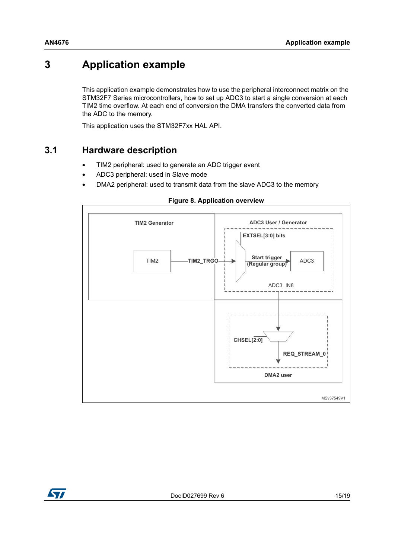# <span id="page-14-0"></span>**3 Application example**

This application example demonstrates how to use the peripheral interconnect matrix on the STM32F7 Series microcontrollers, how to set up ADC3 to start a single conversion at each TIM2 time overflow. At each end of conversion the DMA transfers the converted data from the ADC to the memory.

This application uses the STM32F7xx HAL API.

# <span id="page-14-1"></span>**3.1 Hardware description**

- TIM2 peripheral: used to generate an ADC trigger event
- ADC3 peripheral: used in Slave mode
- DMA2 peripheral: used to transmit data from the slave ADC3 to the memory

#### **Figure 8. Application overview**

<span id="page-14-2"></span>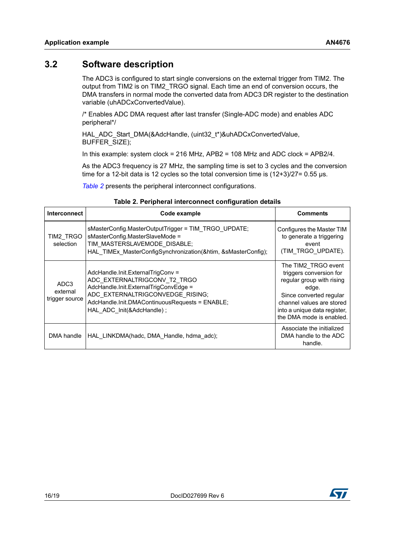# <span id="page-15-0"></span>**3.2 Software description**

The ADC3 is configured to start single conversions on the external trigger from TIM2. The output from TIM2 is on TIM2\_TRGO signal. Each time an end of conversion occurs, the DMA transfers in normal mode the converted data from ADC3 DR register to the destination variable (uhADCxConvertedValue).

/\* Enables ADC DMA request after last transfer (Single-ADC mode) and enables ADC peripheral\*/

HAL\_ADC\_Start\_DMA(&AdcHandle, (uint32\_t\*)&uhADCxConvertedValue, BUFFER\_SIZE);

In this example: system clock = 216 MHz, APB2 = 108 MHz and ADC clock = APB2/4.

As the ADC3 frequency is 27 MHz, the sampling time is set to 3 cycles and the conversion time for a 12-bit data is 12 cycles so the total conversion time is  $(12+3)/27=0.55$  µs.

*[Table](#page-15-1) 2* presents the peripheral interconnect configurations.

<span id="page-15-1"></span>

| <b>Interconnect</b>                            | Code example                                                                                                                                                                                                                   | <b>Comments</b>                                                                                                                                                                                          |
|------------------------------------------------|--------------------------------------------------------------------------------------------------------------------------------------------------------------------------------------------------------------------------------|----------------------------------------------------------------------------------------------------------------------------------------------------------------------------------------------------------|
| TIM2 TRGO<br>selection                         | sMasterConfig.MasterOutputTrigger = TIM TRGO UPDATE;<br>sMasterConfig.MasterSlaveMode =<br>TIM MASTERSLAVEMODE DISABLE;<br>HAL TIMEx MasterConfigSynchronization(&htim, &sMasterConfig);                                       | Configures the Master TIM<br>to generate a triggering<br>event<br>(TIM TRGO_UPDATE).                                                                                                                     |
| ADC <sub>3</sub><br>external<br>trigger source | AdcHandle.Init.ExternalTrigConv =<br>ADC EXTERNALTRIGCONV T2 TRGO<br>AdcHandle.Init.ExternalTrigConvEdge =<br>ADC EXTERNALTRIGCONVEDGE RISING;<br>AdcHandle.Init.DMAContinuousRequests = ENABLE;<br>HAL ADC Init(&AdcHandle) : | The TIM2 TRGO event<br>triggers conversion for<br>regular group with rising<br>edge.<br>Since converted regular<br>channel values are stored<br>into a unique data register,<br>the DMA mode is enabled. |
| DMA handle                                     | HAL LINKDMA(hadc, DMA Handle, hdma adc);                                                                                                                                                                                       | Associate the initialized<br>DMA handle to the ADC<br>handle.                                                                                                                                            |

#### **Table 2. Peripheral interconnect configuration details**

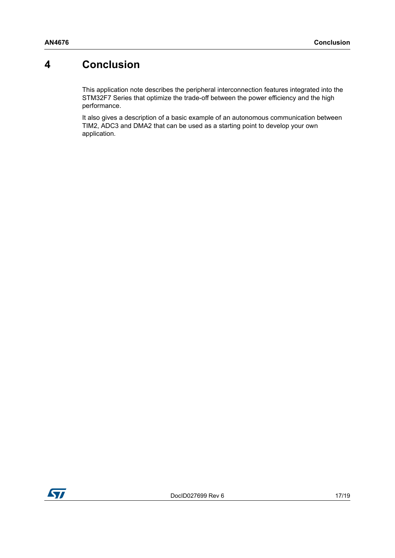# <span id="page-16-0"></span>**4 Conclusion**

This application note describes the peripheral interconnection features integrated into the STM32F7 Series that optimize the trade-off between the power efficiency and the high performance.

It also gives a description of a basic example of an autonomous communication between TIM2, ADC3 and DMA2 that can be used as a starting point to develop your own application.

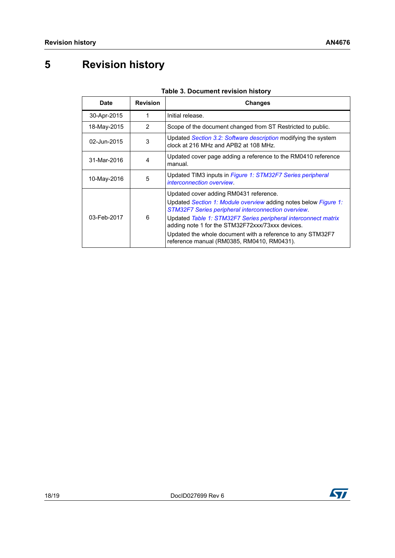# <span id="page-17-0"></span>**5 Revision history**

<span id="page-17-1"></span>

| Date        | <b>Revision</b> | Changes                                                                                                                                                                                                                                                                                                                                                                                            |
|-------------|-----------------|----------------------------------------------------------------------------------------------------------------------------------------------------------------------------------------------------------------------------------------------------------------------------------------------------------------------------------------------------------------------------------------------------|
| 30-Apr-2015 | 1               | Initial release.                                                                                                                                                                                                                                                                                                                                                                                   |
| 18-May-2015 | 2               | Scope of the document changed from ST Restricted to public.                                                                                                                                                                                                                                                                                                                                        |
| 02-Jun-2015 | 3               | Updated Section 3.2: Software description modifying the system<br>clock at 216 MHz and APB2 at 108 MHz.                                                                                                                                                                                                                                                                                            |
| 31-Mar-2016 | 4               | Updated cover page adding a reference to the RM0410 reference<br>manual.                                                                                                                                                                                                                                                                                                                           |
| 10-May-2016 | 5               | Updated TIM3 inputs in Figure 1: STM32F7 Series peripheral<br>interconnection overview.                                                                                                                                                                                                                                                                                                            |
| 03-Feb-2017 | 6               | Updated cover adding RM0431 reference.<br>Updated Section 1: Module overview adding notes below Figure 1:<br>STM32F7 Series peripheral interconnection overview.<br>Updated Table 1: STM32F7 Series peripheral interconnect matrix<br>adding note 1 for the STM32F72xxx/73xxx devices.<br>Updated the whole document with a reference to any STM32F7<br>reference manual (RM0385, RM0410, RM0431). |

#### **Table 3. Document revision history**